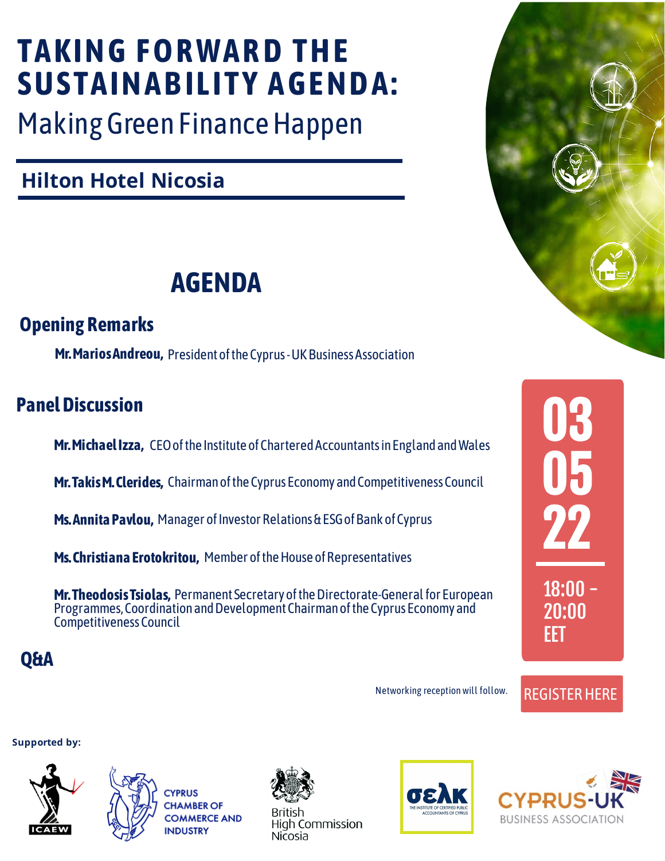### **Hilton Hotel Nicosia**

# **TAKING FORWARD THE** SUSTAINABILITY AGENDA:

Making Green Finance Happen

[REGISTER HERE](https://forms.ccci.org.cy/uk_icaew/)



Ms. Annita Pavlou, Manager of Investor Relations & ESG of Bank of Cyprus

Ms. Christiana Erotokritou, Member of the House of Representatives

22

18:00 -

20:00

EET

### **Opening Remarks**

Mr. Marios Andreou, President of the Cyprus - UK Business Association

**Mr. Takis M. Clerides,** Chairman of the Cyprus Economy and Competitiveness Council

Mr. Theodosis Tsiolas, Permanent Secretary of the Directorate-General for European Programmes, Coordination and Development Chairman of the Cyprus Economy and Competitiveness Council

## **AGENDA**

### **Panel Discussion**

**L DISCUSSION<br>Mr. Michael Izza,** CEO of the Institute of Chartered Accountants in England and Wales

#### **Supported by:**







**British High Commission Nicosia** 





**Q&A**

Networking reception will follow.